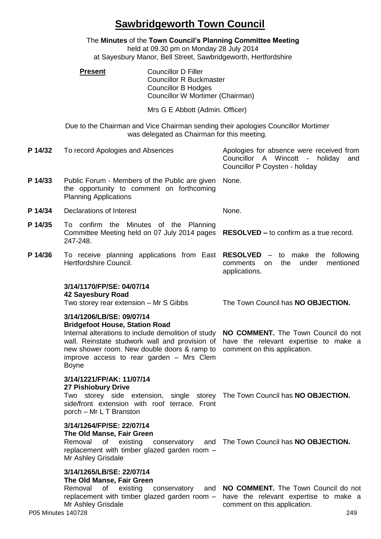## **Sawbridgeworth Town Council**

|         |                                                                                                                                                                                                                                                                                        | held at 09.30 pm on Monday 28 July 2014<br>at Sayesbury Manor, Bell Street, Sawbridgeworth, Hertfordshire                      | The Minutes of the Town Council's Planning Committee Meeting                                                                           |
|---------|----------------------------------------------------------------------------------------------------------------------------------------------------------------------------------------------------------------------------------------------------------------------------------------|--------------------------------------------------------------------------------------------------------------------------------|----------------------------------------------------------------------------------------------------------------------------------------|
|         | <b>Present</b>                                                                                                                                                                                                                                                                         | <b>Councillor D Filler</b><br><b>Councillor R Buckmaster</b><br><b>Councillor B Hodges</b><br>Councillor W Mortimer (Chairman) |                                                                                                                                        |
|         |                                                                                                                                                                                                                                                                                        | Mrs G E Abbott (Admin. Officer)                                                                                                |                                                                                                                                        |
|         |                                                                                                                                                                                                                                                                                        | was delegated as Chairman for this meeting.                                                                                    | Due to the Chairman and Vice Chairman sending their apologies Councillor Mortimer                                                      |
| P 14/32 | To record Apologies and Absences                                                                                                                                                                                                                                                       |                                                                                                                                | Apologies for absence were received from<br>Councillor A Wincott<br>$\sim$ $ \sim$<br>holiday<br>and<br>Councillor P Coysten - holiday |
| P 14/33 | Public Forum - Members of the Public are given<br>the opportunity to comment on forthcoming<br><b>Planning Applications</b>                                                                                                                                                            |                                                                                                                                | None.                                                                                                                                  |
| P 14/34 | Declarations of Interest                                                                                                                                                                                                                                                               |                                                                                                                                | None.                                                                                                                                  |
| P 14/35 | To confirm the Minutes of the Planning<br>Committee Meeting held on 07 July 2014 pages<br>247-248.                                                                                                                                                                                     |                                                                                                                                | <b>RESOLVED – to confirm as a true record.</b>                                                                                         |
| P 14/36 | To receive planning applications from East<br>Hertfordshire Council.                                                                                                                                                                                                                   |                                                                                                                                | <b>RESOLVED</b> – to make the following<br>the<br>under<br>mentioned<br>comments<br><b>on</b><br>applications.                         |
|         | 3/14/1170/FP/SE: 04/07/14<br>42 Sayesbury Road<br>Two storey rear extension - Mr S Gibbs                                                                                                                                                                                               |                                                                                                                                | The Town Council has NO OBJECTION.                                                                                                     |
|         | 3/14/1206/LB/SE: 09/07/14<br><b>Bridgefoot House, Station Road</b><br>Internal alterations to include demolition of study<br>wall. Reinstate studwork wall and provision of<br>new shower room. New double doors & ramp to<br>improve access to rear garden - Mrs Clem<br><b>Boyne</b> |                                                                                                                                | NO COMMENT. The Town Council do not<br>have the relevant expertise to make a<br>comment on this application.                           |
|         | 3/14/1221/FP/AK: 11/07/14<br>27 Pishiobury Drive<br>side/front extension with roof terrace. Front<br>porch - Mr L T Branston                                                                                                                                                           |                                                                                                                                | Two storey side extension, single storey The Town Council has <b>NO OBJECTION.</b>                                                     |
|         | 3/14/1264/FP/SE: 22/07/14<br>The Old Manse, Fair Green<br>Removal<br>of<br>existing<br>replacement with timber glazed garden room -<br>Mr Ashley Grisdale                                                                                                                              | conservatory                                                                                                                   | and The Town Council has NO OBJECTION.                                                                                                 |
|         | 3/14/1265/LB/SE: 22/07/14<br>The Old Manse, Fair Green<br>Removal<br>of existing<br>replacement with timber glazed garden room -<br>Mr Ashley Grisdale                                                                                                                                 | conservatory<br>and                                                                                                            | NO COMMENT. The Town Council do not<br>have the relevant expertise to make a<br>comment on this application.                           |